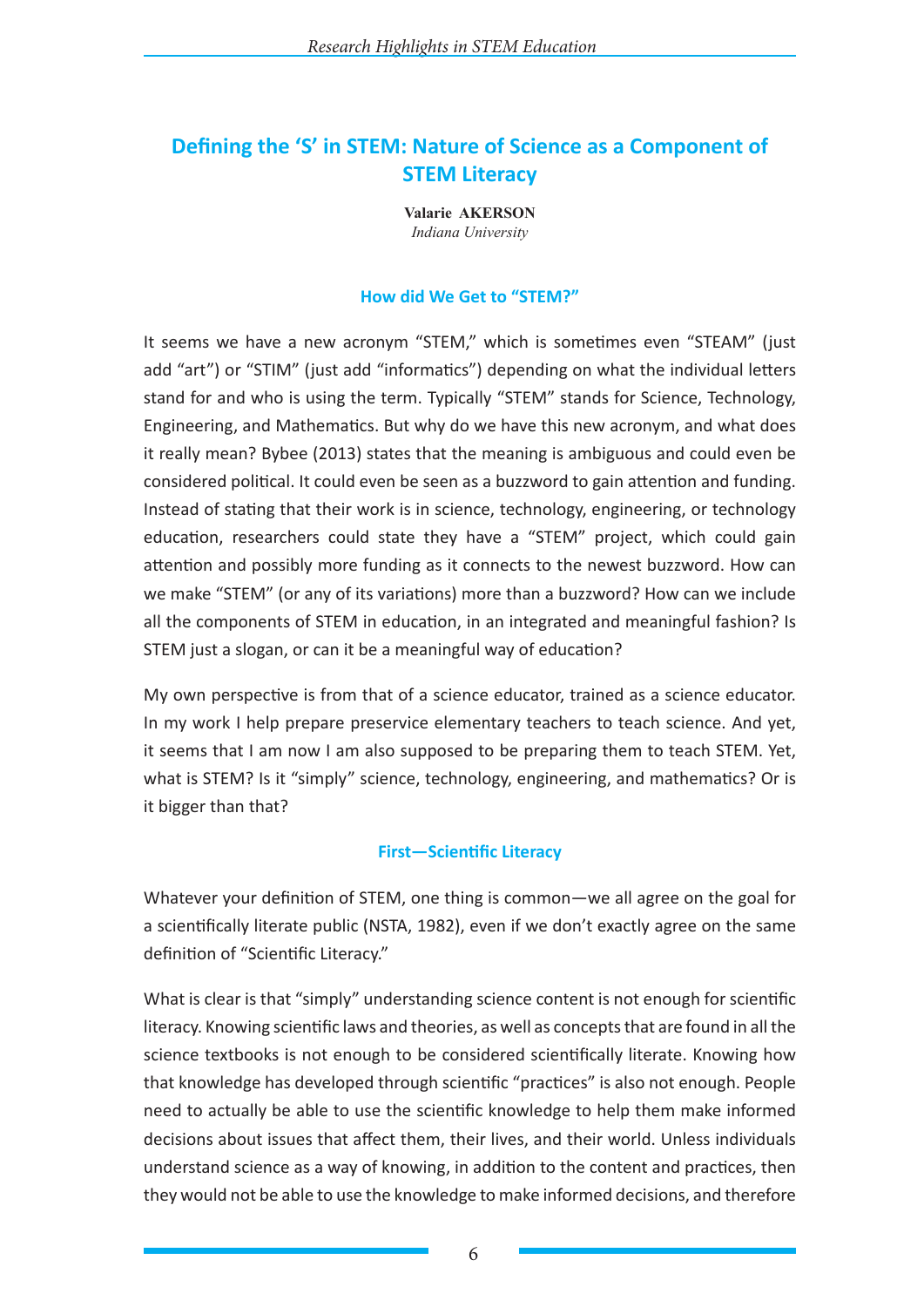# **Defining the 'S' in STEM: Nature of Science as a Component of STEM Literacy**

**Valarie AKERSON** *Indiana University*

### **How did We Get to "STEM?"**

It seems we have a new acronym "STEM," which is sometimes even "STEAM" (just add "art") or "STIM" (just add "informatics") depending on what the individual letters stand for and who is using the term. Typically "STEM" stands for Science, Technology, Engineering, and Mathematics. But why do we have this new acronym, and what does it really mean? Bybee (2013) states that the meaning is ambiguous and could even be considered political. It could even be seen as a buzzword to gain attention and funding. Instead of stating that their work is in science, technology, engineering, or technology education, researchers could state they have a "STEM" project, which could gain attention and possibly more funding as it connects to the newest buzzword. How can we make "STEM" (or any of its variations) more than a buzzword? How can we include all the components of STEM in education, in an integrated and meaningful fashion? Is STEM just a slogan, or can it be a meaningful way of education?

My own perspective is from that of a science educator, trained as a science educator. In my work I help prepare preservice elementary teachers to teach science. And yet, it seems that I am now I am also supposed to be preparing them to teach STEM. Yet, what is STEM? Is it "simply" science, technology, engineering, and mathematics? Or is it bigger than that?

# **First—Scientific Literacy**

Whatever your definition of STEM, one thing is common—we all agree on the goal for a scientifically literate public (NSTA, 1982), even if we don't exactly agree on the same definition of "Scientific Literacy."

What is clear is that "simply" understanding science content is not enough for scientific literacy. Knowing scientific laws and theories, as well as concepts that are found in all the science textbooks is not enough to be considered scientifically literate. Knowing how that knowledge has developed through scientific "practices" is also not enough. People need to actually be able to use the scientific knowledge to help them make informed decisions about issues that affect them, their lives, and their world. Unless individuals understand science as a way of knowing, in addition to the content and practices, then they would not be able to use the knowledge to make informed decisions, and therefore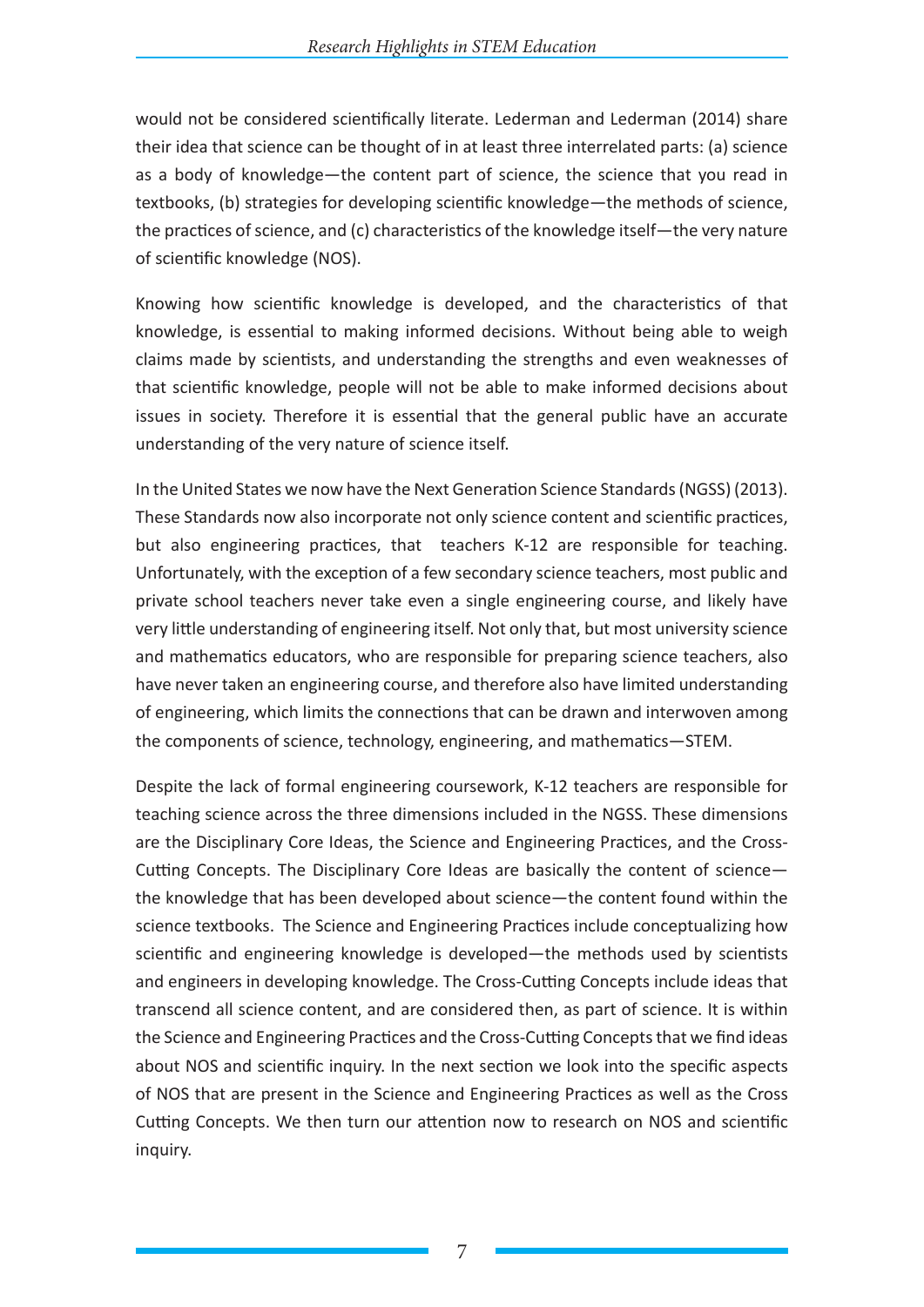would not be considered scientifically literate. Lederman and Lederman (2014) share their idea that science can be thought of in at least three interrelated parts: (a) science as a body of knowledge—the content part of science, the science that you read in textbooks, (b) strategies for developing scientific knowledge—the methods of science, the practices of science, and (c) characteristics of the knowledge itself—the very nature of scientific knowledge (NOS).

Knowing how scientific knowledge is developed, and the characteristics of that knowledge, is essential to making informed decisions. Without being able to weigh claims made by scientists, and understanding the strengths and even weaknesses of that scientific knowledge, people will not be able to make informed decisions about issues in society. Therefore it is essential that the general public have an accurate understanding of the very nature of science itself.

In the United States we now have the Next Generation Science Standards (NGSS) (2013). These Standards now also incorporate not only science content and scientific practices, but also engineering practices, that teachers K-12 are responsible for teaching. Unfortunately, with the exception of a few secondary science teachers, most public and private school teachers never take even a single engineering course, and likely have very little understanding of engineering itself. Not only that, but most university science and mathematics educators, who are responsible for preparing science teachers, also have never taken an engineering course, and therefore also have limited understanding of engineering, which limits the connections that can be drawn and interwoven among the components of science, technology, engineering, and mathematics—STEM.

Despite the lack of formal engineering coursework, K-12 teachers are responsible for teaching science across the three dimensions included in the NGSS. These dimensions are the Disciplinary Core Ideas, the Science and Engineering Practices, and the Cross-Cutting Concepts. The Disciplinary Core Ideas are basically the content of science the knowledge that has been developed about science—the content found within the science textbooks. The Science and Engineering Practices include conceptualizing how scientific and engineering knowledge is developed—the methods used by scientists and engineers in developing knowledge. The Cross-Cutting Concepts include ideas that transcend all science content, and are considered then, as part of science. It is within the Science and Engineering Practices and the Cross-Cutting Concepts that we find ideas about NOS and scientific inquiry. In the next section we look into the specific aspects of NOS that are present in the Science and Engineering Practices as well as the Cross Cutting Concepts. We then turn our attention now to research on NOS and scientific inquiry.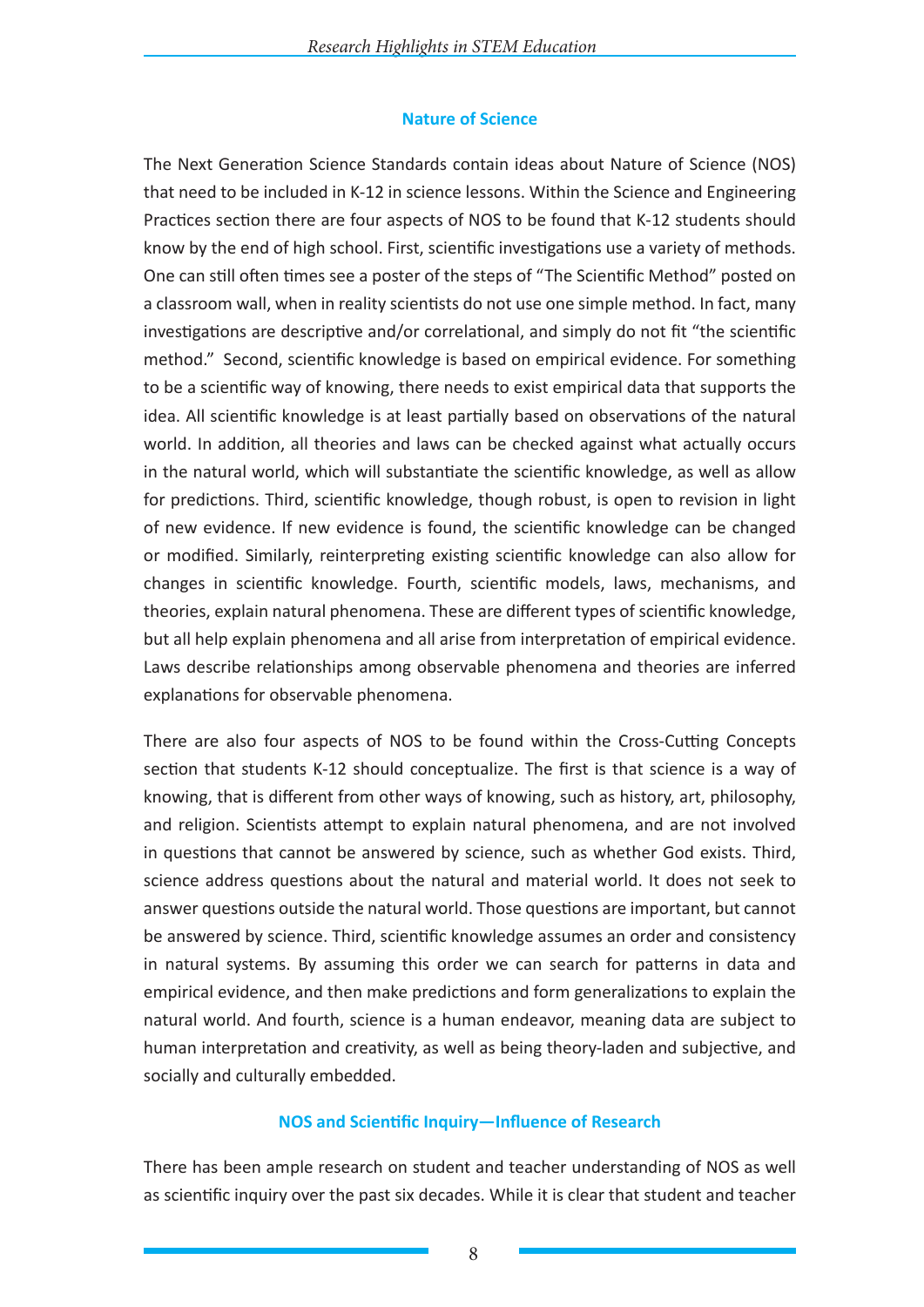# **Nature of Science**

The Next Generation Science Standards contain ideas about Nature of Science (NOS) that need to be included in K-12 in science lessons. Within the Science and Engineering Practices section there are four aspects of NOS to be found that K-12 students should know by the end of high school. First, scientific investigations use a variety of methods. One can still often times see a poster of the steps of "The Scientific Method" posted on a classroom wall, when in reality scientists do not use one simple method. In fact, many investigations are descriptive and/or correlational, and simply do not fit "the scientific method." Second, scientific knowledge is based on empirical evidence. For something to be a scientific way of knowing, there needs to exist empirical data that supports the idea. All scientific knowledge is at least partially based on observations of the natural world. In addition, all theories and laws can be checked against what actually occurs in the natural world, which will substantiate the scientific knowledge, as well as allow for predictions. Third, scientific knowledge, though robust, is open to revision in light of new evidence. If new evidence is found, the scientific knowledge can be changed or modified. Similarly, reinterpreting existing scientific knowledge can also allow for changes in scientific knowledge. Fourth, scientific models, laws, mechanisms, and theories, explain natural phenomena. These are different types of scientific knowledge, but all help explain phenomena and all arise from interpretation of empirical evidence. Laws describe relationships among observable phenomena and theories are inferred explanations for observable phenomena.

There are also four aspects of NOS to be found within the Cross-Cutting Concepts section that students K-12 should conceptualize. The first is that science is a way of knowing, that is different from other ways of knowing, such as history, art, philosophy, and religion. Scientists attempt to explain natural phenomena, and are not involved in questions that cannot be answered by science, such as whether God exists. Third, science address questions about the natural and material world. It does not seek to answer questions outside the natural world. Those questions are important, but cannot be answered by science. Third, scientific knowledge assumes an order and consistency in natural systems. By assuming this order we can search for patterns in data and empirical evidence, and then make predictions and form generalizations to explain the natural world. And fourth, science is a human endeavor, meaning data are subject to human interpretation and creativity, as well as being theory-laden and subjective, and socially and culturally embedded.

# **NOS and Scientific Inquiry—Influence of Research**

There has been ample research on student and teacher understanding of NOS as well as scientific inquiry over the past six decades. While it is clear that student and teacher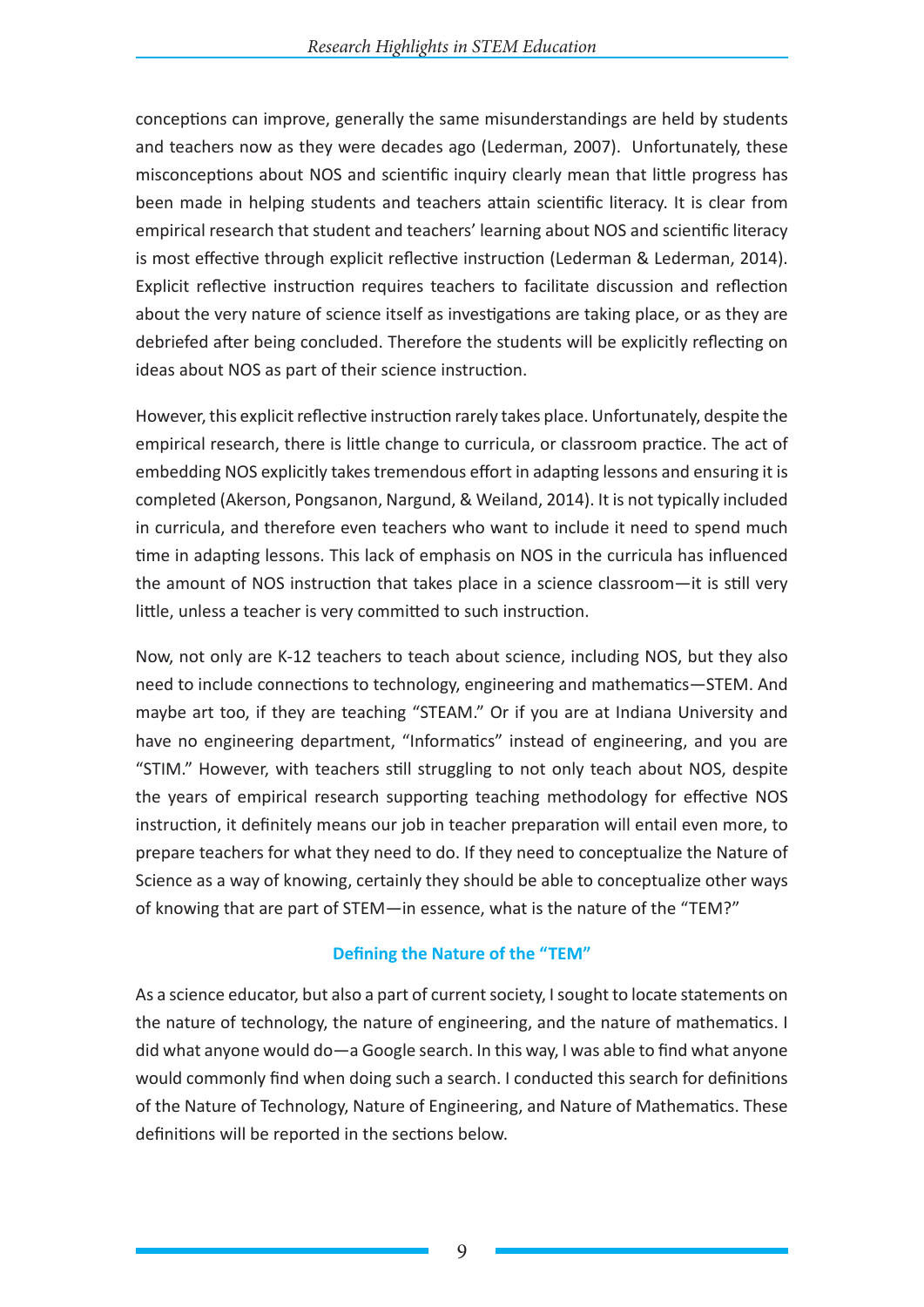conceptions can improve, generally the same misunderstandings are held by students and teachers now as they were decades ago (Lederman, 2007). Unfortunately, these misconceptions about NOS and scientific inquiry clearly mean that little progress has been made in helping students and teachers attain scientific literacy. It is clear from empirical research that student and teachers' learning about NOS and scientific literacy is most effective through explicit reflective instruction (Lederman & Lederman, 2014). Explicit reflective instruction requires teachers to facilitate discussion and reflection about the very nature of science itself as investigations are taking place, or as they are debriefed after being concluded. Therefore the students will be explicitly reflecting on ideas about NOS as part of their science instruction.

However, this explicit reflective instruction rarely takes place. Unfortunately, despite the empirical research, there is little change to curricula, or classroom practice. The act of embedding NOS explicitly takes tremendous effort in adapting lessons and ensuring it is completed (Akerson, Pongsanon, Nargund, & Weiland, 2014). It is not typically included in curricula, and therefore even teachers who want to include it need to spend much time in adapting lessons. This lack of emphasis on NOS in the curricula has influenced the amount of NOS instruction that takes place in a science classroom—it is still very little, unless a teacher is very committed to such instruction.

Now, not only are K-12 teachers to teach about science, including NOS, but they also need to include connections to technology, engineering and mathematics—STEM. And maybe art too, if they are teaching "STEAM." Or if you are at Indiana University and have no engineering department, "Informatics" instead of engineering, and you are "STIM." However, with teachers still struggling to not only teach about NOS, despite the years of empirical research supporting teaching methodology for effective NOS instruction, it definitely means our job in teacher preparation will entail even more, to prepare teachers for what they need to do. If they need to conceptualize the Nature of Science as a way of knowing, certainly they should be able to conceptualize other ways of knowing that are part of STEM—in essence, what is the nature of the "TEM?"

# **Defining the Nature of the "TEM"**

As a science educator, but also a part of current society, I sought to locate statements on the nature of technology, the nature of engineering, and the nature of mathematics. I did what anyone would do—a Google search. In this way, I was able to find what anyone would commonly find when doing such a search. I conducted this search for definitions of the Nature of Technology, Nature of Engineering, and Nature of Mathematics. These definitions will be reported in the sections below.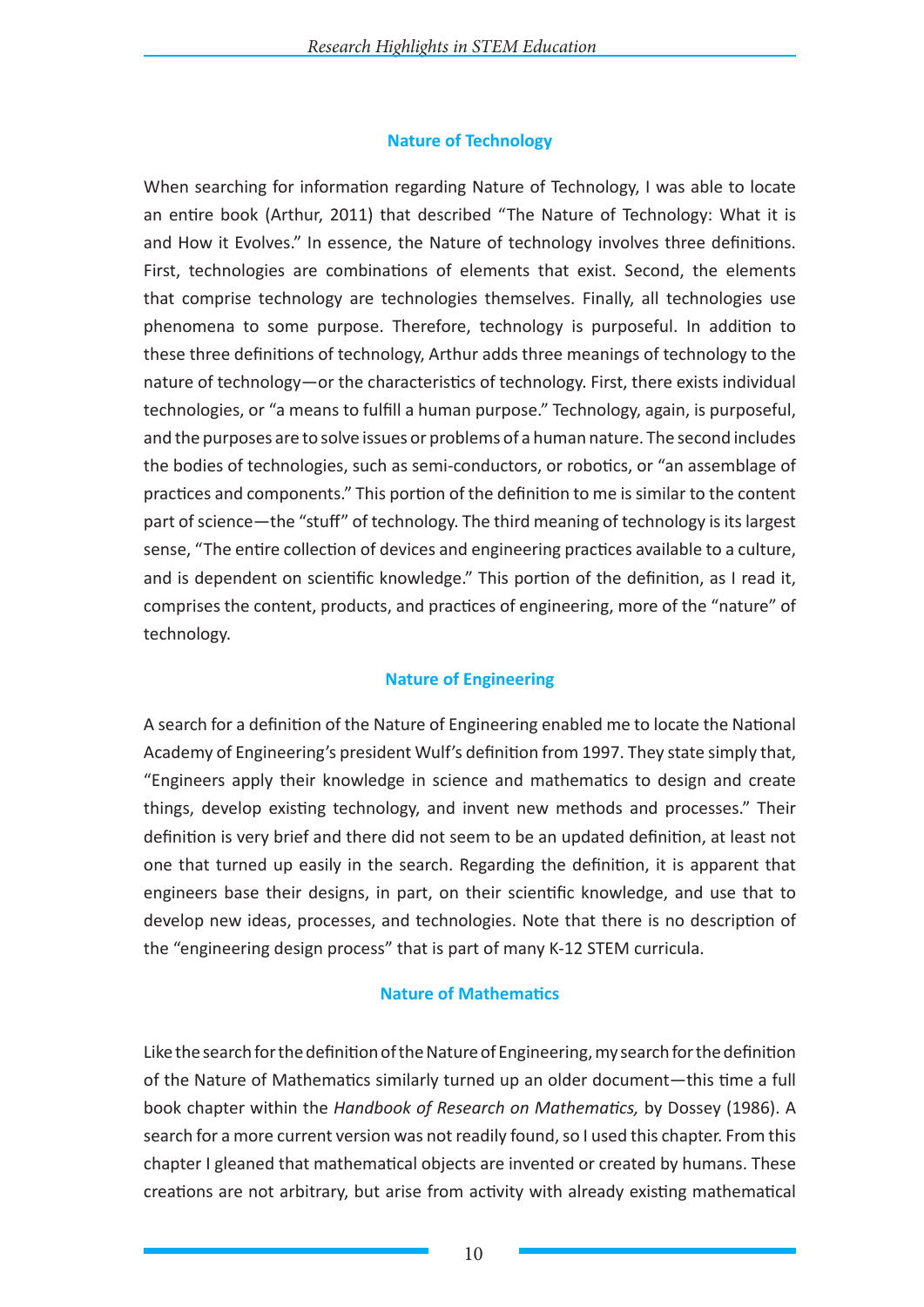# **Nature of Technology**

When searching for information regarding Nature of Technology, I was able to locate an entire book (Arthur, 2011) that described "The Nature of Technology: What it is and How it Evolves." In essence, the Nature of technology involves three definitions. First, technologies are combinations of elements that exist. Second, the elements that comprise technology are technologies themselves. Finally, all technologies use phenomena to some purpose. Therefore, technology is purposeful. In addition to these three definitions of technology, Arthur adds three meanings of technology to the nature of technology—or the characteristics of technology. First, there exists individual technologies, or "a means to fulfill a human purpose." Technology, again, is purposeful, and the purposes are to solve issues or problems of a human nature. The second includes the bodies of technologies, such as semi-conductors, or robotics, or "an assemblage of practices and components." This portion of the definition to me is similar to the content part of science—the "stuff" of technology. The third meaning of technology is its largest sense, "The entire collection of devices and engineering practices available to a culture, and is dependent on scientific knowledge." This portion of the definition, as I read it, comprises the content, products, and practices of engineering, more of the "nature" of technology.

# **Nature of Engineering**

A search for a definition of the Nature of Engineering enabled me to locate the National Academy of Engineering's president Wulf's definition from 1997. They state simply that, "Engineers apply their knowledge in science and mathematics to design and create things, develop existing technology, and invent new methods and processes." Their definition is very brief and there did not seem to be an updated definition, at least not one that turned up easily in the search. Regarding the definition, it is apparent that engineers base their designs, in part, on their scientific knowledge, and use that to develop new ideas, processes, and technologies. Note that there is no description of the "engineering design process" that is part of many K-12 STEM curricula.

# **Nature of Mathematics**

Like the search for the definition of the Nature of Engineering, my search for the definition of the Nature of Mathematics similarly turned up an older document—this time a full book chapter within the *Handbook of Research on Mathematics,* by Dossey (1986). A search for a more current version was not readily found, so I used this chapter. From this chapter I gleaned that mathematical objects are invented or created by humans. These creations are not arbitrary, but arise from activity with already existing mathematical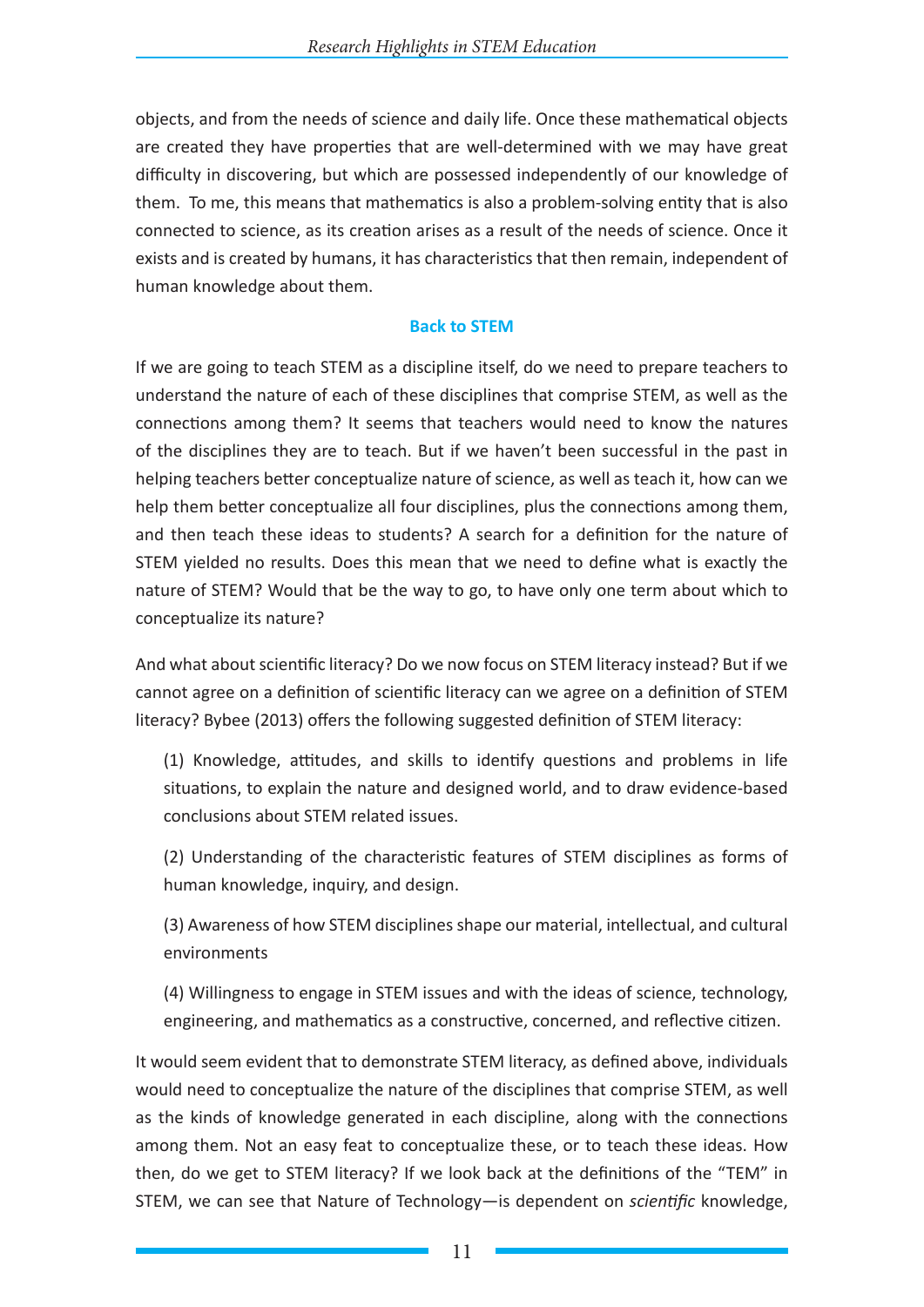objects, and from the needs of science and daily life. Once these mathematical objects are created they have properties that are well-determined with we may have great difficulty in discovering, but which are possessed independently of our knowledge of them. To me, this means that mathematics is also a problem-solving entity that is also connected to science, as its creation arises as a result of the needs of science. Once it exists and is created by humans, it has characteristics that then remain, independent of human knowledge about them.

## **Back to STEM**

If we are going to teach STEM as a discipline itself, do we need to prepare teachers to understand the nature of each of these disciplines that comprise STEM, as well as the connections among them? It seems that teachers would need to know the natures of the disciplines they are to teach. But if we haven't been successful in the past in helping teachers better conceptualize nature of science, as well as teach it, how can we help them better conceptualize all four disciplines, plus the connections among them, and then teach these ideas to students? A search for a definition for the nature of STEM yielded no results. Does this mean that we need to define what is exactly the nature of STEM? Would that be the way to go, to have only one term about which to conceptualize its nature?

And what about scientific literacy? Do we now focus on STEM literacy instead? But if we cannot agree on a definition of scientific literacy can we agree on a definition of STEM literacy? Bybee (2013) offers the following suggested definition of STEM literacy:

(1) Knowledge, attitudes, and skills to identify questions and problems in life situations, to explain the nature and designed world, and to draw evidence-based conclusions about STEM related issues.

(2) Understanding of the characteristic features of STEM disciplines as forms of human knowledge, inquiry, and design.

(3) Awareness of how STEM disciplines shape our material, intellectual, and cultural environments

(4) Willingness to engage in STEM issues and with the ideas of science, technology, engineering, and mathematics as a constructive, concerned, and reflective citizen.

It would seem evident that to demonstrate STEM literacy, as defined above, individuals would need to conceptualize the nature of the disciplines that comprise STEM, as well as the kinds of knowledge generated in each discipline, along with the connections among them. Not an easy feat to conceptualize these, or to teach these ideas. How then, do we get to STEM literacy? If we look back at the definitions of the "TEM" in STEM, we can see that Nature of Technology—is dependent on *scientific* knowledge,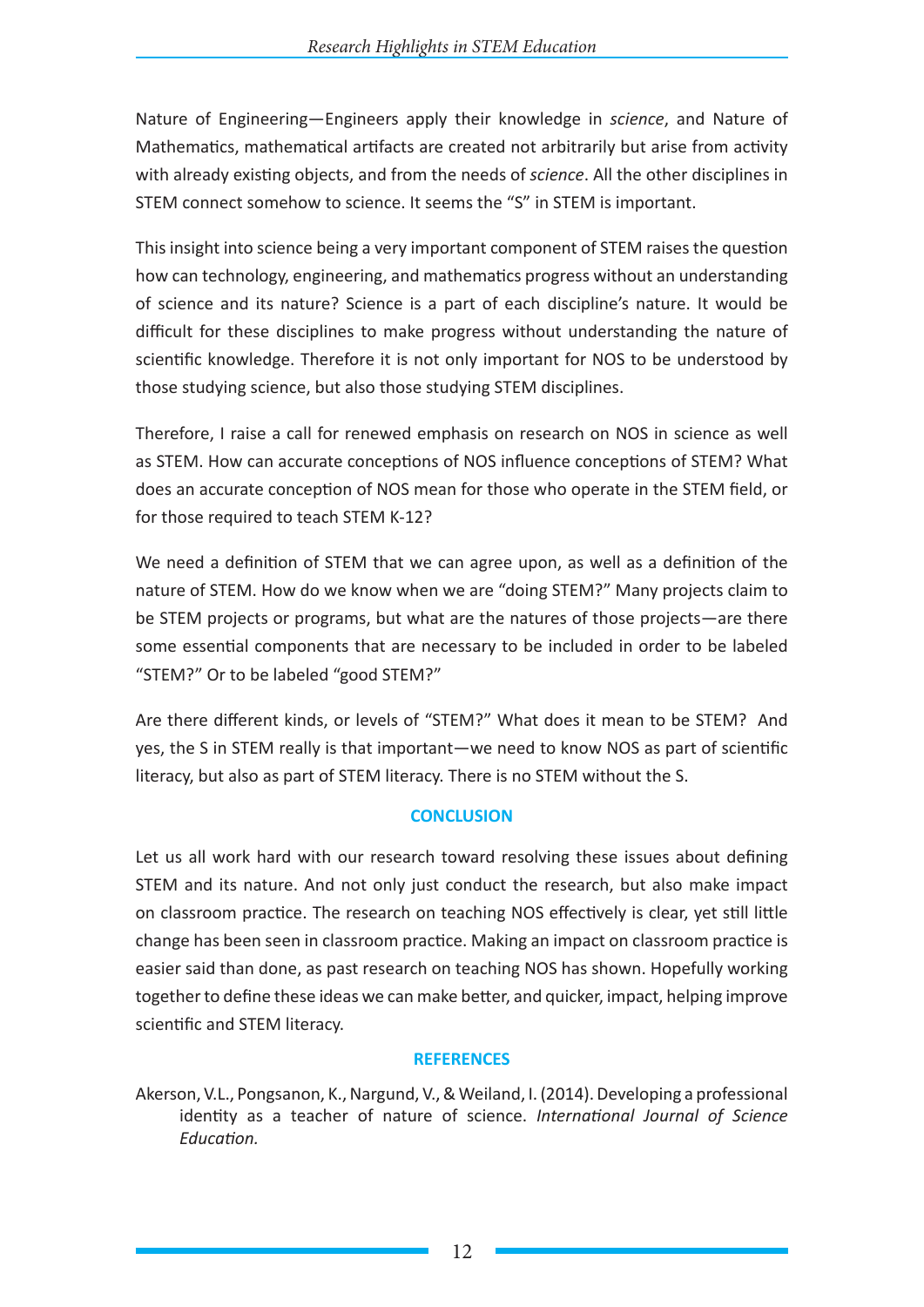Nature of Engineering—Engineers apply their knowledge in *science*, and Nature of Mathematics, mathematical artifacts are created not arbitrarily but arise from activity with already existing objects, and from the needs of *science*. All the other disciplines in STEM connect somehow to science. It seems the "S" in STEM is important.

This insight into science being a very important component of STEM raises the question how can technology, engineering, and mathematics progress without an understanding of science and its nature? Science is a part of each discipline's nature. It would be difficult for these disciplines to make progress without understanding the nature of scientific knowledge. Therefore it is not only important for NOS to be understood by those studying science, but also those studying STEM disciplines.

Therefore, I raise a call for renewed emphasis on research on NOS in science as well as STEM. How can accurate conceptions of NOS influence conceptions of STEM? What does an accurate conception of NOS mean for those who operate in the STEM field, or for those required to teach STEM K-12?

We need a definition of STEM that we can agree upon, as well as a definition of the nature of STEM. How do we know when we are "doing STEM?" Many projects claim to be STEM projects or programs, but what are the natures of those projects—are there some essential components that are necessary to be included in order to be labeled "STEM?" Or to be labeled "good STEM?"

Are there different kinds, or levels of "STEM?" What does it mean to be STEM? And yes, the S in STEM really is that important—we need to know NOS as part of scientific literacy, but also as part of STEM literacy. There is no STEM without the S.

# **CONCLUSION**

Let us all work hard with our research toward resolving these issues about defining STEM and its nature. And not only just conduct the research, but also make impact on classroom practice. The research on teaching NOS effectively is clear, yet still little change has been seen in classroom practice. Making an impact on classroom practice is easier said than done, as past research on teaching NOS has shown. Hopefully working together to define these ideas we can make better, and quicker, impact, helping improve scientific and STEM literacy.

#### **REFERENCES**

Akerson, V.L., Pongsanon, K., Nargund, V., & Weiland, I. (2014). Developing a professional identity as a teacher of nature of science. *International Journal of Science Education.*